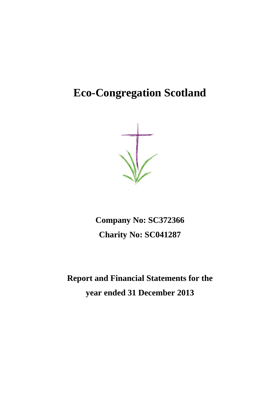# **Eco-Congregation Scotland**

**Company No: SC372366 Charity No: SC041287**

**Report and Financial Statements for the year ended 31 December 2013**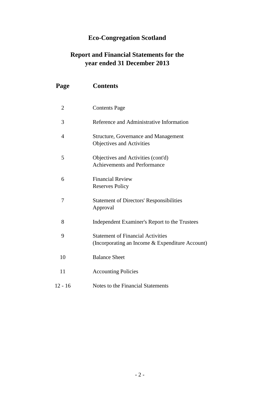# **Eco-Congregation Scotland**

# **Report and Financial Statements for the year ended 31 December 2013**

| Page           | <b>Contents</b>                                                                             |
|----------------|---------------------------------------------------------------------------------------------|
| $\overline{2}$ | <b>Contents Page</b>                                                                        |
| 3              | Reference and Administrative Information                                                    |
| 4              | <b>Structure, Governance and Management</b><br>Objectives and Activities                    |
| 5              | Objectives and Activities (cont'd)<br><b>Achievements and Performance</b>                   |
| 6              | <b>Financial Review</b><br><b>Reserves Policy</b>                                           |
| 7              | <b>Statement of Directors' Responsibilities</b><br>Approval                                 |
| 8              | Independent Examiner's Report to the Trustees                                               |
| 9              | <b>Statement of Financial Activities</b><br>(Incorporating an Income & Expenditure Account) |
| 10             | <b>Balance Sheet</b>                                                                        |
| 11             | <b>Accounting Policies</b>                                                                  |
| $12 - 16$      | Notes to the Financial Statements                                                           |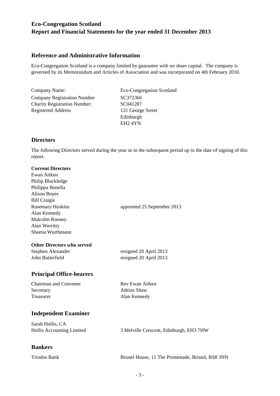# **Reference and Administrative Information**

Eco-Congregation Scotland is a company limited by guarantee with no share capital. The company is governed by its Memorandum and Articles of Association and was incorporated on 4th February 2010.

Company Name: Eco-Congregation Scotland Company Registration Number SC372366 Charity Registration Number: SC041287 Registered Address 121 George Street

Edinburgh EH2 4YN

# **Directors**

The following Directors served during the year or in the subsequent period up to the date of signing of this report.

# **Current Directors**

| Ewan Aitken<br>Philip Blackledge |                                         |
|----------------------------------|-----------------------------------------|
| Philippa Bonella                 |                                         |
| <b>Alison Boyes</b>              |                                         |
| <b>Bill Craigie</b>              |                                         |
| <b>Rosemary Hoskins</b>          | appointed 25 September 2013             |
| Alan Kennedy                     |                                         |
| Malcolm Rooney                   |                                         |
| Alan Werritty                    |                                         |
| Sheena Wurthmann                 |                                         |
| Other Directors who served       |                                         |
| Stephen Alexander                | resigned 20 April 2013                  |
| John Butterfield                 | resigned 20 April 2013                  |
| <b>Principal Office-bearers</b>  |                                         |
| Chairman and Convener            | Rev Ewan Aitken                         |
| Secretary                        | Adrian Shaw                             |
| Treasurer                        | Alan Kennedy                            |
| <b>Independent Examiner</b>      |                                         |
| Sarah Hollis, CA                 |                                         |
| Hollis Accounting Limited        | 3 Melville Crescent, Edinburgh, EH3 7HW |

# **Bankers**

Triodos Bank Brunel House, 11 The Promenade, Bristol, BS8 3NN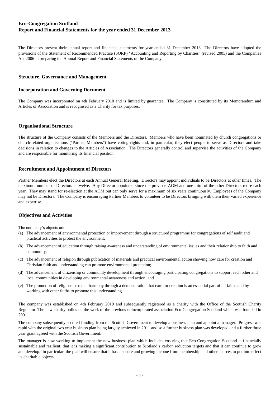The Directors present their annual report and financial statements for year ended 31 December 2013. The Directors have adopted the provisions of the Statement of Recommended Practice (SORP) "Accounting and Reporting by Charities" (revised 2005) and the Companies Act 2006 in preparing the Annual Report and Financial Statements of the Company.

## **Structure, Governance and Management**

## **Incorporation and Governing Document**

The Company was incorporated on 4th February 2010 and is limited by guarantee. The Company is constituted by its Memorandum and Articles of Association and is recognised as a Charity for tax purposes.

# **Organisational Structure**

The structure of the Company consists of the Members and the Directors. Members who have been nominated by church congregations or church-related organisations ("Partner Members") have voting rights and, in particular, they elect people to serve as Directors and take decisions in relation to changes to the Articles of Association. The Directors generally control and supervise the activities of the Company and are responsible for monitoring its financial position.

## **Recruitment and Appointment of Directors**

Partner Members elect the Directors at each Annual General Meeting. Directors may appoint individuals to be Directors at other times. The maximum number of Directors is twelve. Any Director appointed since the previous AGM and one third of the other Directors retire each year. They may stand for re-election at the AGM but can only serve for a maximum of six years continuously. Employees of the Company may not be Directors. The Company is encouraging Partner Members to volunteer to be Directors bringing with them their varied experience and expertise.

# **Objectives and Activities**

The company's objects are:

- (a) The advancement of environmental protection or improvement through a structured programme for congregations of self audit and practical activities to protect the environment;
- (b) The advancement of education through raising awareness and understanding of environmental issues and their relationship to faith and community;
- (c) The advancement of religion through publication of materials and practical environmental action showing how care for creation and Christian faith and understanding can promote environmental protection;
- (d) The advancement of citizenship or community development through encouraging participating congregations to support each other and local communities in developing environmental awareness and action; and
- (e) The promotion of religious or racial harmony through a demonstration that care for creation is an essential part of all faiths and by working with other faiths to promote this understanding.

The company was established on 4th February 2010 and subsequently registered as a charity with the Office of the Scottish Charity Regulator. The new charity builds on the work of the previous unincorporated association Eco-Congregation Scotland which was founded in 2001.

The company subsequently secured funding from the Scottish Government to develop a business plan and appoint a manager. Progress was rapid with the original two year business plan being largely achieved in 2011 and so a further business plan was developed and a further three year grant agreed with the Scottish Government.

The manager is now working to implement the new business plan which includes ensuring that Eco-Congregation Scotland is financially sustainable and resilient, that it is making a significant contribution to Scotland's carbon reduction targets and that it can continue to grow and develop. In particular, the plan will ensure that it has a secure and growing income from membership and other sources to put into effect its charitable objects.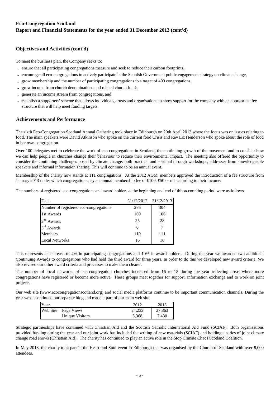# **Objectives and Activities (cont'd)**

To meet the business plan, the Company seeks to:

- **-** ensure that all participating congregations measure and seek to reduce their carbon footprints,
- **-** encourage all eco-congregations to actively participate in the Scottish Government public engagement strategy on climate change,
- **-** grow membership and the number of participating congregations to a target of 400 congregations,
- **-** grow income from church denominations and related church funds,
- **-** generate an income stream from congregations, and
- **-** establish a supporters' scheme that allows individuals, trusts and organisations to show support for the company with an appropriate fee structure that will help meet funding targets.

## **Achievements and Performance**

The sixth Eco-Congregation Scotland Annual Gathering took place in Edinburgh on 20th April 2013 where the focus was on issues relating to food. The main speakers were David Atkinson who spoke on the current food Crisis and Rev Liz Henderson who spoke about the role of food in her own congregation.

Over 100 delegates met to celebrate the work of eco-congregations in Scotland, the continuing growth of the movement and to consider how we can help people in churches change their behaviour to reduce their environmental impact. The meeting also offered the opportunity to consider the continuing challenges posed by climate change: both practical and spiritual through workshops, addresses from knowledgeable speakers and informal information sharing. This will continue to be an annual event.

Membership of the charity now stands at 111 congregations. At the 2012 AGM, members approved the introduction of a fee structure from January 2013 under which congregations pay an annual membership fee of £100, £50 or nil according to their income.

The numbers of registered eco-congregations and award holders at the beginning and end of this accounting period were as follows.

| Date                                   | 31/12/2012 31/12/2013 |     |
|----------------------------------------|-----------------------|-----|
| Number of registered eco-congregations | 286                   | 304 |
| 1st Awards                             | 100                   | 106 |
| 2 <sup>nd</sup><br>Awards              | 25                    | 28  |
| 3 <sup>rd</sup> Awards                 | 6                     |     |
| <b>Members</b>                         | 119                   | 111 |
| <b>Local Networks</b>                  | 16                    | 18  |

This represents an increase of 4% in participating congregations and 10% in award holders. During the year we awarded two additional Continuing Awards to congregations who had held the third award for three years. In order to do this we developed new award criteria. We also revised our other award criteria and processes to make them clearer.

The number of local networks of eco-congregation churches increased from 16 to 18 during the year reflecting areas where more congregations have registered or become more active. These groups meet together for support, information exchange and to work on joint projects.

Our web site (www.ecocongregationscotland.org) and social media platforms continue to be important communication channels. During the year we discontinued our separate blog and made it part of our main web site.

| <b>Year</b> |                     | 2012   | 2013   |
|-------------|---------------------|--------|--------|
|             | Web Site Page Views | 24.232 | 27,863 |
|             | Unique Visitors     | 5,368  | 7,430  |

Strategic partnerships have continued with Christian Aid and the Scottish Catholic International Aid Fund (SCIAF). Both organisations provided funding during the year and our joint work has included the writing of new materials (SCIAF) and holding a series of joint climate change road shows (Christian Aid). The charity has continued to play an active role in the Stop Climate Chaos Scotland Coalition.

In May 2013, the charity took part in the Heart and Soul event in Edinburgh that was organised by the Church of Scotland with over 8,000 attendees.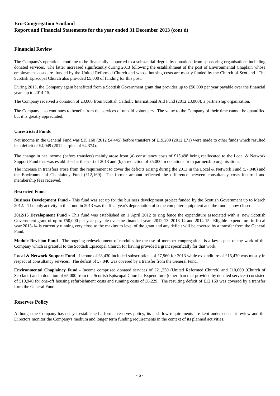# **Financial Review**

The Company's operations continue to be financially supported to a substantial degree by donations from sponsoring organisations including donated services. The latter increased significantly during 2013 following the establishment of the post of Environmental Chaplain whose employment costs are funded by the United Reformed Church and whose housing costs are mostly funded by the Church of Scotland. The Scottish Episcopal Church also provided £5,000 of funding for this post.

During 2013, the Company again benefitted from a Scottish Government grant that provides up to £50,000 per year payable over the financial years up to 2014-15.

The Company received a donation of £3,000 from Scottish Catholic International Aid Fund (2012 £3,000), a partnership organisation.

The Company also continues to benefit from the services of unpaid volunteers. The value to the Company of their time cannot be quantified but it is greatly appreciated.

# **Unrestricted Funds**

Net income in the General Fund was £15,160 (2012 £4,445) before transfers of £19,209 (2012 £71) were made to other funds which resulted in a deficit of £4,049 (2012 surplus of £4,374).

The change in net income (before transfers) mainly arose from (a) consultancy costs of £15,498 being reallocated to the Local & Network Support Fund that was established at the start of 2013 and (b) a reduction of £5,000 in donations from partnership organisations.

The increase in transfers arose from the requirement to cover the deficits arising during the 2013 in the Local & Network Fund (£7,040) and the Environmental Chaplaincy Fund (£12,169). The former amount reflected the difference between consultancy costs incurred and membership fees received.

### **Restricted Funds**

**Business Development Fund** - This fund was set up for the business development project funded by the Scottish Government up to March 2012. The only activity in this fund in 2013 was the final year's depreciation of some computer equipment and the fund is now closed.

**2012/15 Development Fund** - This fund was established on 1 April 2012 to ring fence the expenditure associated with a new Scottish Government grant of up to £50,000 per year payable over the financial years 2012-13, 2013-14 and 2014-15. Eligible expenditure in fiscal year 2013-14 is currently running very close to the maximum level of the grant and any deficit will be covered by a transfer from the General Fund.

**Module Revision Fund** - The ongoing redevelopment of modules for the use of member congregations is a key aspect of the work of the Company which is grateful to the Scottish Episcopal Church for having provided a grant specifically for that work.

**Local & Network Support Fund** - Income of £8,430 included subscriptions of £7,960 for 2013 while expenditure of £15,470 was mostly in respect of consultancy services. The deficit of £7,040 was covered by a transfer from the General Fund.

**Environmental Chaplaincy Fund** - Income comprised donated services of £21,250 (United Reformed Church) and £10,000 (Church of Scotland) and a donation of £5,000 from the Scottish Episcopal Church. Expenditure (other than that provided by donated services) consisted of £10,940 for one-off housing refurbishment costs and running costs of £6,229. The resulting deficit of £12,169 was covered by a transfer form the General Fund.

## **Reserves Policy**

Although the Company has not yet established a formal reserves policy, its cashflow requirements are kept under constant review and the Directors monitor the Company's medium and longer term funding requirements in the context of its planned activities.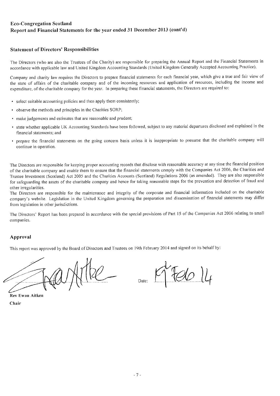# **Statement of Directors' Responsibilities**

The Directors (who are also the Trustees of the Charity) are responsible for preparing the Annual Report and the Financial Statements in accordance with applicable law and United Kingdom Accounting Standards (United Kingdom Generally Accepted Accounting Practice).

Company and charity law requires the Directors to prepare financial statements for each financial year, which give a true and fair view of the state of affairs of the charitable company and of the incoming resources and application of resources, including the income and expenditure, of the charitable company for the year. In preparing these financial statements, the Directors are required to:

- select suitable accounting policies and then apply them consistently;
- observe the methods and principles in the Charities SORP;
- make judgements and estimates that are reasonable and prudent;
- · state whether applicable UK Accounting Standards have been followed, subject to any material departures disclosed and explained in the financial statements; and
- · prepare the financial statements on the going concern basis unless it is inappropriate to presume that the charitable company will continue in operation.

The Directors are responsible for keeping proper accounting records that disclose with reasonable accuracy at any time the financial position of the charitable company and enable them to ensure that the financial statements comply with the Companies Act 2006, the Charities and Trustee Investment (Scotland) Act 2005 and the Charities Accounts (Scotland) Regulations 2006 (as amended). They are also responsible for safeguarding the assets of the charitable company and hence for taking reasonable steps for the prevention and detection of fraud and other irregularities.

The Directors are responsible for the maintenance and integrity of the corporate and financial information included on the charitable company's website. Legislation in the United Kingdom governing the preparation and dissemination of financial statements may differ from legislation in other jurisdictions.

The Directors' Report has been prepared in accordance with the special provisions of Part 15 of the Companies Act 2006 relating to small companies.

# Approval

This report was approved by the Board of Directors and Trustees on 19th February 2014 and signed on its behalf by:

**Rev Ewan Aitken** Chair

Date: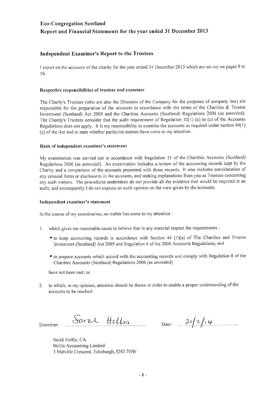# **Independent Examiner's Report to the Trustees**

I report on the accounts of the charity for the year ended 31 December 2013 which are set out on pages 9 to 16.

# Respective responsibilities of trustees and examiner

The Charity's Trustees (who are also the Directors of the Company for the purposes of company law) are responsible for the preparation of the accounts in accordance with the terms of the Charities & Trustee Investment (Scotland) Act 2005 and the Charities Accounts (Scotland) Regulations 2006 (as amended). The Charity's Trustees consider that the audit requirement of Regulation 10(1) (a) to (c) of the Accounts Regulations does not apply. It is my responsibility to examine the accounts as required under section 44(1) (c) of the Act and to state whether particular matters have come to my attention.

# Basis of independent examiner's statement

My examination was carried out in accordance with Regulation 11 of the Charities Accounts (Scotland) Regulations 2006 (as amended). An examination includes a review of the accounting records kept by the Charity and a comparison of the accounts presented with those records. It also includes consideration of any unusual items or disclosures in the accounts, and seeking explanations from you as Trustees concerning any such matters. The procedures undertaken do not provide all the evidence that would be required in an audit, and consequently I do not express an audit opinion on the view given by the accounts.

## Independent examiner's statement

In the course of my examination, no matter has come to my attention:

- 1. which gives me reasonable cause to believe that in any material respect the requirements :
	- to keep accounting records in accordance with Section 44 (1)(a) of The Charities and Trustee Investment (Scotland) Act 2005 and Regulation 4 of the 2006 Accounts Regulations; and
	- to prepare accounts which accord with the accounting records and comply with Regulation 8 of the Charities Accounts (Scotland) Regulations 2006 (as amended)

have not been met; or

to which, in my opinion, attention should be drawn in order to enable a proper understanding of the  $2.$ accounts to be reached.

Examiner:

Saral Hellis

Date:  $2\sigma/2/\sqrt{4}$ 

Sarah Hollis, CA Hollis Accounting Limited 3 Melville Crescent, Edinburgh, EH3 7HW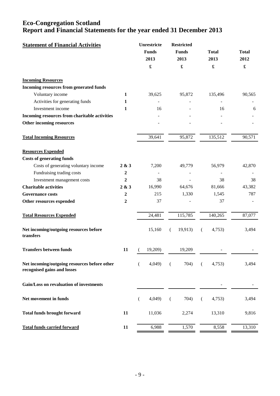| <b>Statement of Financial Activities</b>                                    |                  | Unrestricte<br><b>Funds</b><br>2013 | <b>Restricted</b><br><b>Funds</b><br>2013 | <b>Total</b><br>2013 | <b>Total</b><br>2012 |
|-----------------------------------------------------------------------------|------------------|-------------------------------------|-------------------------------------------|----------------------|----------------------|
|                                                                             |                  |                                     | £                                         | £                    | $\pmb{\mathfrak{L}}$ |
| <b>Incoming Resources</b>                                                   |                  |                                     |                                           |                      |                      |
| Incoming resources from generated funds                                     |                  |                                     |                                           |                      |                      |
| Voluntary income                                                            | 1                | 39,625                              | 95,872                                    | 135,496              | 90,565               |
| Activities for generating funds                                             | 1                |                                     |                                           |                      |                      |
| Investment income                                                           | 1                | 16                                  |                                           | 16                   | 6                    |
| Incoming resources from charitable activities                               |                  |                                     |                                           |                      |                      |
| Other incoming resources                                                    |                  |                                     |                                           |                      |                      |
| <b>Total Incoming Resources</b>                                             |                  | 39,641                              | 95,872                                    | 135,512              | 90,571               |
| <b>Resources Expended</b>                                                   |                  |                                     |                                           |                      |                      |
| <b>Costs of generating funds</b>                                            |                  |                                     |                                           |                      |                      |
| Costs of generating voluntary income                                        | 2 & 3            | 7,200                               | 49,779                                    | 56,979               | 42,870               |
| Fundraising trading costs                                                   | $\boldsymbol{2}$ |                                     |                                           |                      |                      |
| Investment management costs                                                 | 2                | 38                                  |                                           | 38                   | 38                   |
| <b>Charitable activities</b>                                                | 2 & 3            | 16,990                              | 64,676                                    | 81,666               | 43,382               |
| <b>Governance costs</b>                                                     | $\boldsymbol{2}$ | 215                                 | 1,330                                     | 1,545                | 787                  |
| Other resources expended                                                    | $\mathbf{2}$     | 37                                  |                                           | 37                   |                      |
| <b>Total Resources Expended</b>                                             |                  | 24,481                              | 115,785                                   | 140,265              | 87,077               |
| Net incoming/outgoing resources before<br>transfers                         |                  | 15,160                              | 19,913)<br>€                              | 4,753)<br>€          | 3,494                |
| <b>Transfers between funds</b>                                              | 11               | 19,209)                             | 19,209                                    |                      |                      |
| Net incoming/outgoing resources before other<br>recognised gains and losses |                  | 4,049<br>€                          | 704)<br>$\overline{(\ }$                  | $\left($<br>4,753)   | 3,494                |
| Gain/Loss on revaluation of investments                                     |                  |                                     |                                           |                      |                      |
| Net movement in funds                                                       |                  | 4,049<br>€                          | 704)<br>$\left($                          | 4,753)<br>€          | 3,494                |
| <b>Total funds brought forward</b>                                          | 11               | 11,036                              | 2,274                                     | 13,310               | 9,816                |
| <b>Total funds carried forward</b>                                          | 11               | 6,988                               | 1,570                                     | 8,558                | 13,310               |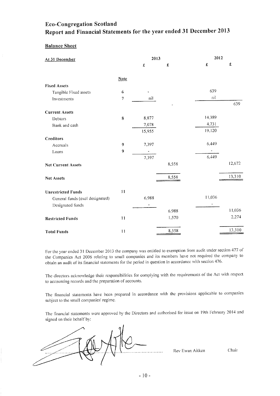# **Balance Sheet**

| At 31 December                                      |                  | 2013              |                      | 2012        |        |
|-----------------------------------------------------|------------------|-------------------|----------------------|-------------|--------|
|                                                     |                  | $\pmb{\pmb{\pm}}$ | $\pmb{\mathfrak{X}}$ | $\mathbf f$ | £      |
|                                                     | Note             |                   |                      |             |        |
| <b>Fixed Assets</b>                                 |                  |                   |                      |             |        |
| Tangible Fixed assets                               | 6                |                   |                      | 639         |        |
| Investments                                         | 7                | nil               |                      | nil         |        |
|                                                     |                  |                   |                      |             | 639    |
| <b>Current Assets</b>                               |                  |                   |                      |             |        |
| Debtors                                             | $\bf 8$          | 8,877             |                      | 14,389      |        |
| Bank and cash                                       |                  | 7,078             |                      | 4,731       |        |
|                                                     |                  | 15,955            |                      | 19,120      |        |
| <b>Creditors</b>                                    |                  |                   |                      |             |        |
| Accruals                                            | 9                | 7,397             |                      | 6,449       |        |
| Loans                                               | $\boldsymbol{9}$ |                   |                      |             |        |
|                                                     |                  | 7,397             |                      | 6,449       |        |
| <b>Net Current Assets</b>                           |                  |                   | 8,558                |             | 12,672 |
| Net Assets                                          |                  |                   | 8,558                |             | 13,310 |
|                                                     | 11               |                   |                      |             |        |
| <b>Unrestricted Funds</b>                           |                  | 6,988             |                      | 11,036      |        |
| General funds (excl designated)<br>Designated funds |                  | ù.                |                      |             |        |
|                                                     |                  |                   | 6,988                |             | 11,036 |
| <b>Restricted Funds</b>                             | 11               |                   | 1,570                |             | 2,274  |
| <b>Total Funds</b>                                  | 11               |                   | 8,558                |             | 13,310 |

For the year ended 31 December 2013 the company was entitled to exemption from audit under section 477 of the Companies Act 2006 relating to small companies and its members have not required the company to obtain an audit of its financial statements for the period in question in accordance with section 476.

The directors acknowledge their responsibilities for complying with the requirements of the Act with respect to accounting records and the preparation of accounts.

The financial statements have been prepared in accordance with the provisions applicable to companies subject to the small companies' regime.

The financial statements were approved by the Directors and authorised for issue on 19th February 2014 and signed on their behalf by:

Rev Ewan Aitken

Chair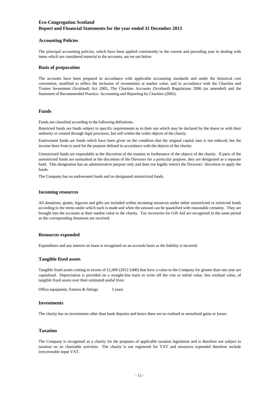### **Accounting Policies**

The principal accounting policies, which have been applied consistently in the current and preceding year in dealing with items which are considered material to the accounts, are set out below.

#### **Basis of preparation**

The accounts have been prepared in accordance with applicable accounting standards and under the historical cost convention, modified to reflect the inclusion of investments at market value, and in accordance with the Charities and Trustee Investment (Scotland) Act 2005, The Charities Accounts (Scotland) Regulations 2006 (as amended) and the Statement of Recommended Practice: Accounting and Reporting by Charities (2005).

## **Funds**

Funds are classified according to the following definitions.

Restricted funds are funds subject to specific requirements as to their use which may be declared by the donor or with their authority or created through legal processes, but still within the wider objects of the charity.

Endowment funds are funds which have been given on the condition that the original capital sum is not reduced, but the income there from is used for the purpose defined in accordance with the objects of the charity.

Unrestricted funds are expendable at the discretion of the trustees in furtherance of the objects of the charity. If parts of the unrestricted funds are earmarked at the discretion of the Directors for a particular purpose, they are designated as a separate fund. This designation has an administrative purpose only and does not legally restrict the Directors' discretion to apply the funds.

The Company has no endowment funds and no designated unrestricted funds.

#### **Incoming resources**

All donations, grants, legacies and gifts are included within incoming resources under either unrestricted or restricted funds according to the terms under which each is made and when the amount can be quantified with reasonable certainty. They are brought into the accounts at their market value to the charity. Tax recoveries for Gift Aid are recognised in the same period as the corresponding donations are received.

#### **Resources expended**

Expenditure and any interest on loans is recognised on an accruals basis as the liability is incurred.

#### **Tangible fixed assets**

Tangible fixed assets costing in excess of £1,000 (2012 £400) that have a value to the Company for greater than one year are capitalised. Depreciation is provided on a straight-line basis to write off the cost or initial value, less residual value, of tangible fixed assets over their estimated useful lives:

3 years Office equipment, fixtures & fittings

#### **Investments**

The charity has no investments other than bank deposits and hence there are no realised or unrealised gains or losses.

### **Taxation**

The Company is recognised as a charity for the purposes of applicable taxation legislation and is therefore not subject to taxation on its charitable activities. The charity is not registered for VAT and resources expended therefore include irrecoverable input VAT.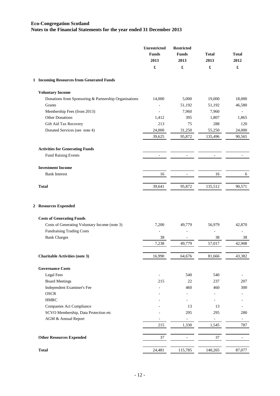|   |                                                       | <b>Unrestricted</b><br><b>Funds</b><br>2013<br>£ | <b>Restricted</b><br><b>Funds</b><br>2013<br>£ | <b>Total</b><br>2013<br>£ | <b>Total</b><br>2012<br>£ |
|---|-------------------------------------------------------|--------------------------------------------------|------------------------------------------------|---------------------------|---------------------------|
|   | 1 Incoming Resources from Generated Funds             |                                                  |                                                |                           |                           |
|   | <b>Voluntary Income</b>                               |                                                  |                                                |                           |                           |
|   | Donations from Sponsoring & Partnership Organisations | 14,000                                           | 5,000                                          | 19,000                    | 18,000                    |
|   | Grants                                                |                                                  | 51,192                                         | 51,192                    | 46,580                    |
|   | Membership Fees (from 2013)                           |                                                  | 7,960                                          | 7,960                     |                           |
|   | <b>Other Donations</b>                                | 1,412                                            | 395                                            | 1,807                     | 1,865                     |
|   | Gift Aid Tax Recovery                                 | 213                                              | 75                                             | 288                       | 120                       |
|   | Donated Services (see note 4)                         | 24,000                                           | 31,250                                         | 55,250                    | 24,000                    |
|   |                                                       | 39,625                                           | 95,872                                         | 135,496                   | 90,565                    |
|   | <b>Activities for Generating Funds</b>                |                                                  |                                                |                           |                           |
|   | Fund Raising Events                                   |                                                  |                                                |                           |                           |
|   | <b>Investment Income</b>                              |                                                  |                                                |                           |                           |
|   | <b>Bank Interest</b>                                  | 16                                               | $\overline{\phantom{a}}$                       | 16                        | 6                         |
|   | <b>Total</b>                                          | 39,641                                           | 95,872                                         | 135,512                   | 90,571                    |
| 2 | <b>Resources Expended</b>                             |                                                  |                                                |                           |                           |
|   | <b>Costs of Generating Funds</b>                      |                                                  |                                                |                           |                           |
|   | Costs of Generating Voluntary Income (note 3)         | 7,200                                            | 49,779                                         | 56,979                    | 42,870                    |
|   | <b>Fundraising Trading Costs</b>                      |                                                  |                                                |                           | L,                        |
|   | <b>Bank Charges</b>                                   | 38                                               | 49,779                                         | 38                        | 38                        |
|   |                                                       | 7,238                                            |                                                | 57,017                    | 42,908                    |
|   | <b>Charitable Activities (note 3)</b>                 | 16,990                                           | 64,676                                         | 81,666                    | 43,382                    |
|   | <b>Governance Costs</b>                               |                                                  |                                                |                           |                           |
|   | <b>Legal Fees</b>                                     |                                                  | 540                                            | 540                       |                           |
|   | <b>Board Meetings</b>                                 | 215                                              | 22                                             | 237                       | 207                       |
|   | Independent Examiner's Fee                            |                                                  | 460                                            | 460                       | 300                       |
|   | <b>OSCR</b>                                           |                                                  |                                                |                           |                           |
|   | <b>HMRC</b>                                           |                                                  |                                                |                           |                           |
|   | Companies Act Compliance                              |                                                  | 13                                             | 13                        |                           |
|   | SCVO Membership, Data Protection etc                  |                                                  | 295                                            | 295                       | 280                       |
|   | AGM & Annual Report                                   |                                                  | $\overline{\phantom{0}}$                       | $\blacksquare$            | ÷,                        |
|   |                                                       | 215                                              | 1,330                                          | 1,545                     | 787                       |
|   | <b>Other Resources Expended</b>                       | 37                                               | $\qquad \qquad \blacksquare$                   | 37                        |                           |
|   |                                                       |                                                  |                                                |                           |                           |
|   | <b>Total</b>                                          | 24,481                                           | 115,785                                        | 140,265                   | 87,077                    |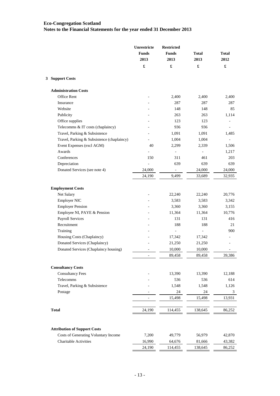|                                            | Unrestricte<br><b>Funds</b><br>2013 | <b>Restricted</b><br><b>Funds</b><br>2013 | <b>Total</b><br>2013 | <b>Total</b><br>2012 |
|--------------------------------------------|-------------------------------------|-------------------------------------------|----------------------|----------------------|
|                                            | £                                   | £                                         | £                    | $\pmb{\mathfrak{L}}$ |
| 3 Support Costs                            |                                     |                                           |                      |                      |
| <b>Administration Costs</b>                |                                     |                                           |                      |                      |
| Office Rent                                |                                     | 2,400                                     | 2,400                | 2,400                |
| Insurance                                  |                                     | 287                                       | 287                  | 287                  |
| Website                                    |                                     | 148                                       | 148                  | 85                   |
| Publicity                                  |                                     | 263                                       | 263                  | 1,114                |
| Office supplies                            |                                     | 123                                       | 123                  |                      |
| Telecomms & IT costs (chaplaincy)          |                                     | 936                                       | 936                  |                      |
| Travel, Parking & Subsistence              |                                     | 1,091                                     | 1,091                | 1,485                |
| Travel, Parking & Subsistence (chaplaincy) |                                     | 1,004                                     | 1,004                |                      |
| Event Expenses (excl AGM)                  | 40                                  | 2,299                                     | 2,339                | 1,506                |
| Awards                                     |                                     | $\qquad \qquad \blacksquare$              |                      | 1,217                |
| Conferences                                | 150                                 | 311                                       | 461                  | 203                  |
| Depreciation                               |                                     | 639                                       | 639                  | 639                  |
| Donated Services (see note 4)              | 24,000                              |                                           | 24,000               | 24,000               |
|                                            | 24,190                              | 9,499                                     | 33,689               | 32,935               |
| <b>Employment Costs</b>                    |                                     |                                           |                      |                      |
| Net Salary                                 |                                     | 22,240                                    | 22,240               | 20,776               |
| Employer NIC                               |                                     | 3,583                                     | 3,583                | 3,342                |
| <b>Employer Pension</b>                    |                                     | 3,360                                     | 3,360                | 3,155                |
| Employee NI, PAYE & Pension                |                                     | 11,364                                    | 11,364               | 10,776               |
| <b>Payroll Services</b>                    |                                     | 131                                       | 131                  | 416                  |
| Recruitment                                |                                     | 188                                       | 188                  | 21                   |
| Training                                   |                                     | ÷,                                        |                      | 900                  |
| Housing Costs (Chaplaincy)                 |                                     | 17,342                                    | 17,342               |                      |
| Donated Services (Chaplaincy)              |                                     | 21,250                                    | 21,250               |                      |
| Donated Services (Chaplaincy housing)      |                                     | 10,000                                    | 10,000               |                      |
|                                            |                                     | 89,458                                    | 89,458               | 39,386               |
| <b>Consultancy Costs</b>                   |                                     |                                           |                      |                      |
| <b>Consultancy Fees</b>                    |                                     | 13,390                                    | 13,390               | 12,188               |
| Telecomms                                  |                                     | 536                                       | 536                  | 614                  |
| Travel, Parking & Subsistence              |                                     | 1,548                                     | 1,548                | 1,126                |
| Postage                                    |                                     | 24                                        | 24                   | 3                    |
|                                            | $\bar{a}$                           | 15,498                                    | 15,498               | 13,931               |
|                                            |                                     |                                           |                      |                      |
| <b>Total</b>                               | 24,190                              | 114,455                                   | 138,645              | 86,252               |
|                                            |                                     |                                           |                      |                      |
| <b>Attribution of Support Costs</b>        |                                     |                                           |                      |                      |
| Costs of Generating Voluntary Income       | 7,200                               | 49,779                                    | 56,979               | 42,870               |
| <b>Charitable Activities</b>               | 16,990                              | 64,676                                    | 81,666               | 43,382               |
|                                            | 24,190                              | 114,455                                   | 138,645              | 86,252               |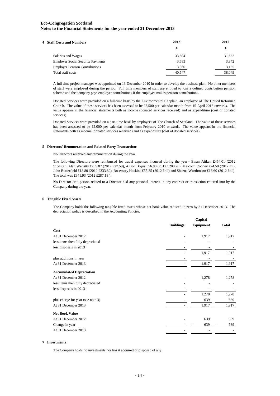| <b>4 Staff Costs and Numbers</b>         | 2013   | 2012   |
|------------------------------------------|--------|--------|
|                                          | £      | £      |
| Salaries and Wages                       | 33,604 | 31,552 |
| <b>Employer Social Security Payments</b> | 3,583  | 3,342  |
| <b>Employer Pension Contributions</b>    | 3,360  | 3,155  |
| Total staff costs                        | 40.547 | 38,049 |

A full time project manager was appointed on 13 December 2010 in order to develop the business plan. No other members of staff were employed during the period. Full time members of staff are entitled to join a defined contribution pension scheme and the company pays employer contributions if the employee makes pension contributions.

Donated Services were provided on a full-time basis by the Environmental Chaplain, an employee of The United Reformed Church. The value of these services has been assessed to be £2,500 per calendar month from 15 April 2013 onwards. The value appears in the financial statements both as income (donated services received) and as expenditure (cost of donated services).

Donated Services were provided on a part-time basis by employees of The Church of Scotland. The value of these services has been assessed to be £2,000 per calendar month from February 2010 onwards. The value appears in the financial statements both as income (donated services received) and as expenditure (cost of donated services).

#### **5 Directors' Remuneration and Related Party Transactions**

No Directors received any remuneration during the year.

The following Directors were reimbursed for travel expenses incurred during the year:- Ewan Aitken £454.01 (2012 £154.06), Alan Werritty £265.87 (2012 £27.50), Alison Boyes £56.80 (2012 £200.20), Malcolm Rooney £74.50 (2012 nil), John Butterfield £18.80 (2012 £333.80), Rosemary Hoskins £55.35 (2012 £nil) and Sheena Wurthmann £16.60 (2012 £nil). The total was £941.93 (2012 £287.18 ).

No Director or a person related to a Director had any personal interest in any contract or transaction entered into by the Company during the year.

#### **6 Tangible Fixed Assets**

The Company holds the following tangible fixed assets whose net book value reduced to zero by 31 December 2013. The depreciation policy is described in the Accounting Policies.

|                                   | Capital          |           |              |
|-----------------------------------|------------------|-----------|--------------|
|                                   | <b>Buildings</b> | Equipment | <b>Total</b> |
| Cost                              |                  |           |              |
| At 31 December 2012               |                  | 1,917     | 1,917        |
| less items then fully depreciated |                  |           |              |
| less disposals in 2013            |                  |           |              |
|                                   |                  | 1,917     | 1,917        |
| plus additions in year            |                  |           |              |
| At 31 December 2013               |                  | 1,917     | 1,917        |
| <b>Accumulated Depreciation</b>   |                  |           |              |
| At 31 December 2012               |                  | 1,278     | 1,278        |
| less items then fully depreciated |                  |           |              |
| less disposals in 2013            |                  |           |              |
|                                   |                  | 1,278     | 1,278        |
| plus charge for year (see note 3) |                  | 639       | 639          |
| At 31 December 2013               |                  | 1,917     | 1,917        |
| <b>Net Book Value</b>             |                  |           |              |
| At 31 December 2012               |                  | 639       | 639          |
| Change in year                    |                  | 639       | 639          |
| At 31 December 2013               |                  |           |              |
|                                   |                  |           |              |

#### **7 Investments**

The Company holds no investments nor has it acquired or disposed of any.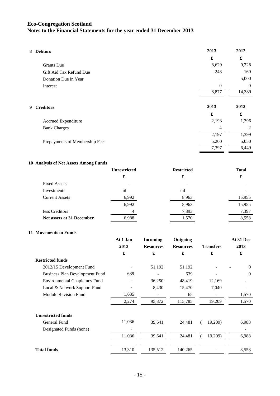| 8 Debtors                      | 2013           | 2012           |
|--------------------------------|----------------|----------------|
|                                | £              | £              |
| <b>Grants</b> Due              | 8,629          | 9,228          |
| Gift Aid Tax Refund Due        | 248            | 160            |
| Donation Due in Year           |                | 5,000          |
| Interest                       | $\overline{0}$ | $\Omega$       |
|                                | 8,877          | 14,389         |
|                                |                |                |
| 9 Creditors                    | 2013           | 2012           |
|                                | £              | £              |
| Accrued Expenditure            | 2,193          | 1,396          |
| <b>Bank Charges</b>            | 4              | $\mathfrak{D}$ |
|                                | 2,197          | 1,399          |
| Prepayments of Membership Fees | 5,200          | 5,050          |
|                                | 7,397          | 6,449          |
|                                |                |                |

## **10 Analysis of Net Assets Among Funds**

|                           | <b>Unrestricted</b> | <b>Restricted</b> | <b>Total</b> |
|---------------------------|---------------------|-------------------|--------------|
|                           | £                   | £                 | £            |
| <b>Fixed Assets</b>       |                     |                   |              |
| Investments               | nil                 | nil               |              |
| <b>Current Assets</b>     | 6,992               | 8,963             | 15,955       |
|                           | 6,992               | 8,963             | 15,955       |
| less Creditors            | 4                   | 7,393             | 7,397        |
| Net assets at 31 December | 6,988               | 1,570             | 8,558        |

## **11 Movements in Funds**

|                                       | At 1 Jan<br>2013<br>$\pmb{\mathfrak{L}}$ | <b>Incoming</b><br><b>Resources</b><br>£ | Outgoing<br><b>Resources</b><br>£ | <b>Transfers</b><br>£ | At 31 Dec<br>2013<br>£ |
|---------------------------------------|------------------------------------------|------------------------------------------|-----------------------------------|-----------------------|------------------------|
|                                       |                                          |                                          |                                   |                       |                        |
|                                       |                                          |                                          |                                   |                       |                        |
| <b>Restricted funds</b>               |                                          |                                          |                                   |                       |                        |
| 2012/15 Development Fund              |                                          | 51,192                                   | 51,192                            |                       | $\theta$               |
| <b>Business Plan Development Fund</b> | 639                                      |                                          | 639                               |                       | $\theta$               |
| <b>Environmental Chaplaincy Fund</b>  |                                          | 36,250                                   | 48,419                            | 12,169                |                        |
| Local & Network Support Fund          |                                          | 8,430                                    | 15,470                            | 7,040                 |                        |
| <b>Module Revision Fund</b>           | 1,635                                    |                                          | 65                                |                       | 1,570                  |
|                                       | 2,274                                    | 95,872                                   | 115,785                           | 19,209                | 1,570                  |
| <b>Unrestricted funds</b>             |                                          |                                          |                                   |                       |                        |
| General Fund                          | 11,036                                   | 39,641                                   | 24,481                            | 19,209)               | 6,988                  |
| Designated Funds (none)               |                                          |                                          |                                   |                       |                        |
|                                       | 11,036                                   | 39,641                                   | 24,481                            | 19,209)               | 6,988                  |
| <b>Total funds</b>                    | 13,310                                   | 135,512                                  | 140,265                           |                       | 8,558                  |